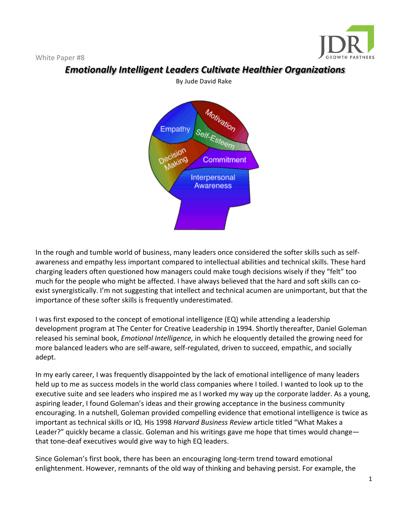

*Emotionally Intelligent Leaders Cultivate Healthier Organizations* 

In the rough and tumble world of business, many leaders once considered the softer skills such as selfawareness and empathy less important compared to intellectual abilities and technical skills. These hard charging leaders often questioned how managers could make tough decisions wisely if they "felt" too much for the people who might be affected. I have always believed that the hard and soft skills can coexist synergistically. I'm not suggesting that intellect and technical acumen are unimportant, but that the importance of these softer skills is frequently underestimated.

I was first exposed to the concept of emotional intelligence (EQ) while attending a leadership development program at The Center for Creative Leadership in 1994. Shortly thereafter, Daniel Goleman released his seminal book, *Emotional Intelligence*, in which he eloquently detailed the growing need for more balanced leaders who are self-aware, self-regulated, driven to succeed, empathic, and socially adept.

In my early career, I was frequently disappointed by the lack of emotional intelligence of many leaders held up to me as success models in the world class companies where I toiled. I wanted to look up to the executive suite and see leaders who inspired me as I worked my way up the corporate ladder. As a young, aspiring leader, I found Goleman's ideas and their growing acceptance in the business community encouraging. In a nutshell, Goleman provided compelling evidence that emotional intelligence is twice as important as technical skills or IQ. His 1998 *Harvard Business Review* article titled "What Makes a Leader?" quickly became a classic. Goleman and his writings gave me hope that times would change that tone-deaf executives would give way to high EQ leaders.

Since Goleman's first book, there has been an encouraging long-term trend toward emotional enlightenment. However, remnants of the old way of thinking and behaving persist. For example, the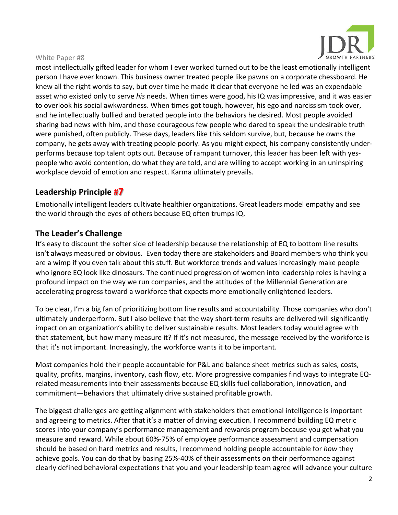

most intellectually gifted leader for whom I ever worked turned out to be the least emotionally intelligent person I have ever known. This business owner treated people like pawns on a corporate chessboard. He knew all the right words to say, but over time he made it clear that everyone he led was an expendable asset who existed only to serve *his* needs. When times were good, his IQ was impressive, and it was easier to overlook his social awkwardness. When times got tough, however, his ego and narcissism took over, and he intellectually bullied and berated people into the behaviors he desired. Most people avoided sharing bad news with him, and those courageous few people who dared to speak the undesirable truth were punished, often publicly. These days, leaders like this seldom survive, but, because he owns the company, he gets away with treating people poorly. As you might expect, his company consistently underperforms because top talent opts out. Because of rampant turnover, this leader has been left with yespeople who avoid contention, do what they are told, and are willing to accept working in an uninspiring workplace devoid of emotion and respect. Karma ultimately prevails.

# **Leadership Principle #7**

Emotionally intelligent leaders cultivate healthier organizations. Great leaders model empathy and see the world through the eyes of others because EQ often trumps IQ.

## **The Leader's Challenge**

It's easy to discount the softer side of leadership because the relationship of EQ to bottom line results isn't always measured or obvious. Even today there are stakeholders and Board members who think you are a wimp if you even talk about this stuff. But workforce trends and values increasingly make people who ignore EQ look like dinosaurs. The continued progression of women into leadership roles is having a profound impact on the way we run companies, and the attitudes of the Millennial Generation are accelerating progress toward a workforce that expects more emotionally enlightened leaders.

To be clear, I'm a big fan of prioritizing bottom line results and accountability. Those companies who don't ultimately underperform. But I also believe that the way short-term results are delivered will significantly impact on an organization's ability to deliver sustainable results. Most leaders today would agree with that statement, but how many measure it? If it's not measured, the message received by the workforce is that it's not important. Increasingly, the workforce wants it to be important.

Most companies hold their people accountable for P&L and balance sheet metrics such as sales, costs, quality, profits, margins, inventory, cash flow, etc. More progressive companies find ways to integrate EQrelated measurements into their assessments because EQ skills fuel collaboration, innovation, and commitment—behaviors that ultimately drive sustained profitable growth.

The biggest challenges are getting alignment with stakeholders that emotional intelligence is important and agreeing to metrics. After that it's a matter of driving execution. I recommend building EQ metric scores into your company's performance management and rewards program because you get what you measure and reward. While about 60%-75% of employee performance assessment and compensation should be based on hard metrics and results, I recommend holding people accountable for *how* they achieve goals. You can do that by basing 25%-40% of their assessments on their performance against clearly defined behavioral expectations that you and your leadership team agree will advance your culture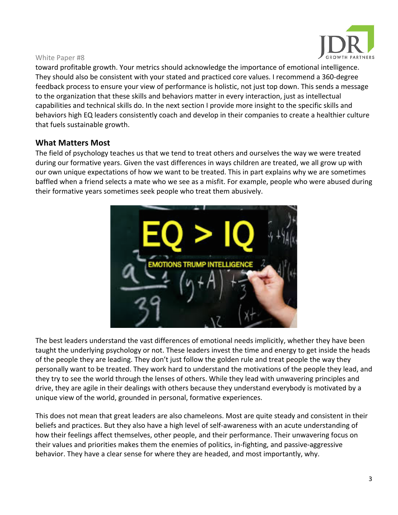

toward profitable growth. Your metrics should acknowledge the importance of emotional intelligence. They should also be consistent with your stated and practiced core values. I recommend a 360-degree feedback process to ensure your view of performance is holistic, not just top down. This sends a message to the organization that these skills and behaviors matter in every interaction, just as intellectual capabilities and technical skills do. In the next section I provide more insight to the specific skills and behaviors high EQ leaders consistently coach and develop in their companies to create a healthier culture that fuels sustainable growth.

### **What Matters Most**

The field of psychology teaches us that we tend to treat others and ourselves the way we were treated during our formative years. Given the vast differences in ways children are treated, we all grow up with our own unique expectations of how we want to be treated. This in part explains why we are sometimes baffled when a friend selects a mate who we see as a misfit. For example, people who were abused during their formative years sometimes seek people who treat them abusively.



The best leaders understand the vast differences of emotional needs implicitly, whether they have been taught the underlying psychology or not. These leaders invest the time and energy to get inside the heads of the people they are leading. They don't just follow the golden rule and treat people the way they personally want to be treated. They work hard to understand the motivations of the people they lead, and they try to see the world through the lenses of others. While they lead with unwavering principles and drive, they are agile in their dealings with others because they understand everybody is motivated by a unique view of the world, grounded in personal, formative experiences.

This does not mean that great leaders are also chameleons. Most are quite steady and consistent in their beliefs and practices. But they also have a high level of self-awareness with an acute understanding of how their feelings affect themselves, other people, and their performance. Their unwavering focus on their values and priorities makes them the enemies of politics, in-fighting, and passive-aggressive behavior. They have a clear sense for where they are headed, and most importantly, why.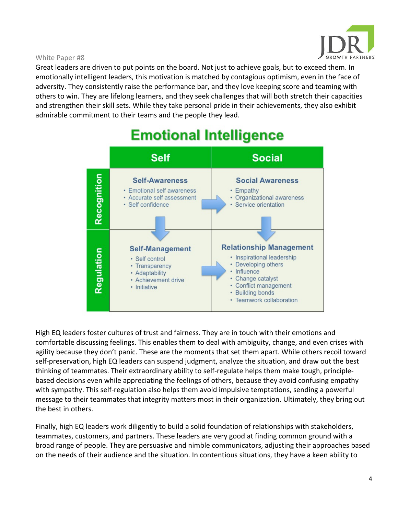

Great leaders are driven to put points on the board. Not just to achieve goals, but to exceed them. In emotionally intelligent leaders, this motivation is matched by contagious optimism, even in the face of adversity. They consistently raise the performance bar, and they love keeping score and teaming with others to win. They are lifelong learners, and they seek challenges that will both stretch their capacities and strengthen their skill sets. While they take personal pride in their achievements, they also exhibit admirable commitment to their teams and the people they lead.

# **Emotional Intelligence**



High EQ leaders foster cultures of trust and fairness. They are in touch with their emotions and comfortable discussing feelings. This enables them to deal with ambiguity, change, and even crises with agility because they don't panic. These are the moments that set them apart. While others recoil toward self-preservation, high EQ leaders can suspend judgment, analyze the situation, and draw out the best thinking of teammates. Their extraordinary ability to self-regulate helps them make tough, principlebased decisions even while appreciating the feelings of others, because they avoid confusing empathy with sympathy. This self-regulation also helps them avoid impulsive temptations, sending a powerful message to their teammates that integrity matters most in their organization. Ultimately, they bring out the best in others.

Finally, high EQ leaders work diligently to build a solid foundation of relationships with stakeholders, teammates, customers, and partners. These leaders are very good at finding common ground with a broad range of people. They are persuasive and nimble communicators, adjusting their approaches based on the needs of their audience and the situation. In contentious situations, they have a keen ability to